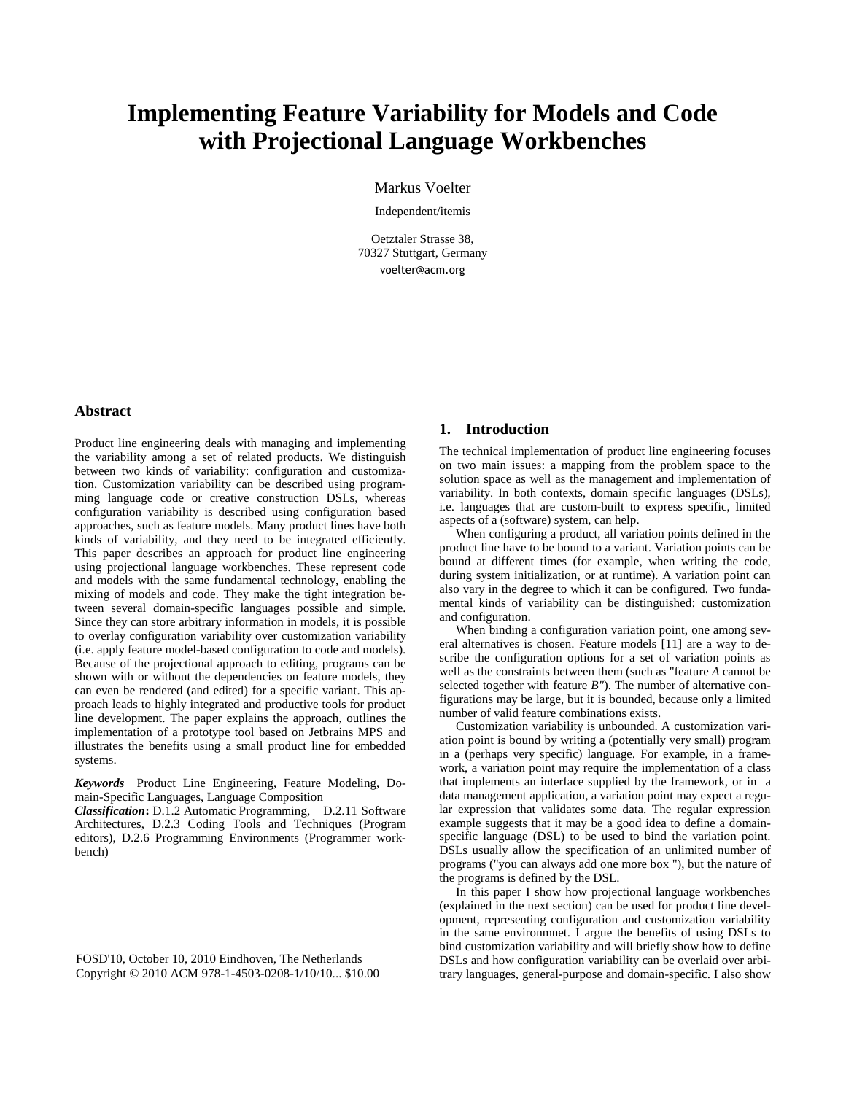# **Implementing Feature Variability for Models and Code with Projectional Language Workbenches**

Markus Voelter

Independent/itemis

Oetztaler Strasse 38, 70327 Stuttgart, Germany voelter@acm.org

## **Abstract**

Product line engineering deals with managing and implementing the variability among a set of related products. We distinguish between two kinds of variability: configuration and customization. Customization variability can be described using programming language code or creative construction DSLs, whereas configuration variability is described using configuration based approaches, such as feature models. Many product lines have both kinds of variability, and they need to be integrated efficiently. This paper describes an approach for product line engineering using projectional language workbenches. These represent code and models with the same fundamental technology, enabling the mixing of models and code. They make the tight integration between several domain-specific languages possible and simple. Since they can store arbitrary information in models, it is possible to overlay configuration variability over customization variability (i.e. apply feature model-based configuration to code and models). Because of the projectional approach to editing, programs can be shown with or without the dependencies on feature models, they can even be rendered (and edited) for a specific variant. This approach leads to highly integrated and productive tools for product line development. The paper explains the approach, outlines the implementation of a prototype tool based on Jetbrains MPS and illustrates the benefits using a small product line for embedded systems.

*Keywords* Product Line Engineering, Feature Modeling, Domain-Specific Languages, Language Composition

*Classification***:** D.1.2 Automatic Programming, D.2.11 Software Architectures, D.2.3 Coding Tools and Techniques (Program editors), D.2.6 Programming Environments (Programmer workbench)

# **1. Introduction**

The technical implementation of product line engineering focuses on two main issues: a mapping from the problem space to the solution space as well as the management and implementation of variability. In both contexts, domain specific languages (DSLs), i.e. languages that are custom-built to express specific, limited aspects of a (software) system, can help.

When configuring a product, all variation points defined in the product line have to be bound to a variant. Variation points can be bound at different times (for example, when writing the code, during system initialization, or at runtime). A variation point can also vary in the degree to which it can be configured. Two fundamental kinds of variability can be distinguished: customization and configuration.

When binding a configuration variation point, one among several alternatives is chosen. Feature models [11] are a way to describe the configuration options for a set of variation points as well as the constraints between them (such as "feature *A* cannot be selected together with feature *B"*). The number of alternative configurations may be large, but it is bounded, because only a limited number of valid feature combinations exists.

Customization variability is unbounded. A customization variation point is bound by writing a (potentially very small) program in a (perhaps very specific) language. For example, in a framework, a variation point may require the implementation of a class that implements an interface supplied by the framework, or in a data management application, a variation point may expect a regular expression that validates some data. The regular expression example suggests that it may be a good idea to define a domainspecific language (DSL) to be used to bind the variation point. DSLs usually allow the specification of an unlimited number of programs ("you can always add one more box "), but the nature of the programs is defined by the DSL.

In this paper I show how projectional language workbenches (explained in the next section) can be used for product line development, representing configuration and customization variability in the same environmnet. I argue the benefits of using DSLs to bind customization variability and will briefly show how to define DSLs and how configuration variability can be overlaid over arbitrary languages, general-purpose and domain-specific. I also show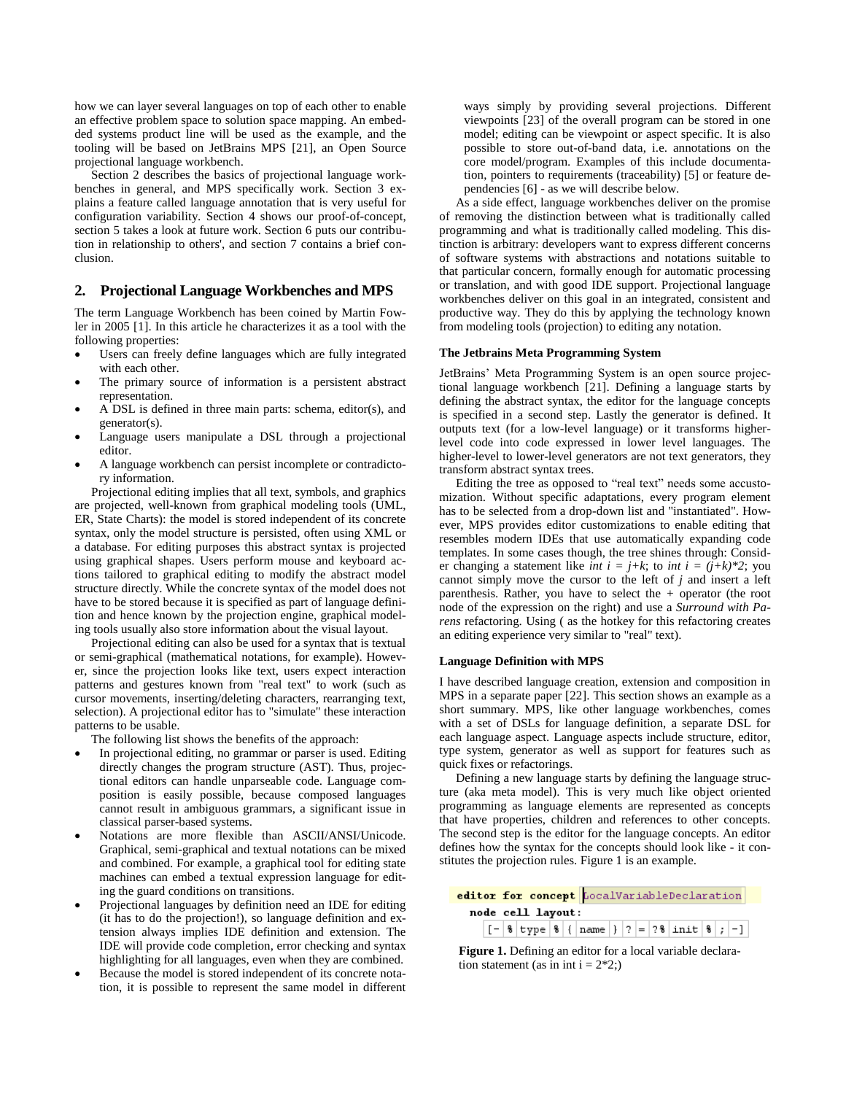how we can layer several languages on top of each other to enable an effective problem space to solution space mapping. An embedded systems product line will be used as the example, and the tooling will be based on JetBrains MPS [21], an Open Source projectional language workbench.

Section 2 describes the basics of projectional language workbenches in general, and MPS specifically work. Section 3 explains a feature called language annotation that is very useful for configuration variability. Section 4 shows our proof-of-concept, section 5 takes a look at future work. Section 6 puts our contribution in relationship to others', and section 7 contains a brief conclusion.

## **2. Projectional Language Workbenches and MPS**

The term Language Workbench has been coined by Martin Fowler in 2005 [1]. In this article he characterizes it as a tool with the following properties:

- Users can freely define languages which are fully integrated with each other.
- The primary source of information is a persistent abstract representation.
- A DSL is defined in three main parts: schema, editor(s), and generator(s).
- Language users manipulate a DSL through a projectional editor.
- A language workbench can persist incomplete or contradictory information.

Projectional editing implies that all text, symbols, and graphics are projected, well-known from graphical modeling tools (UML, ER, State Charts): the model is stored independent of its concrete syntax, only the model structure is persisted, often using XML or a database. For editing purposes this abstract syntax is projected using graphical shapes. Users perform mouse and keyboard actions tailored to graphical editing to modify the abstract model structure directly. While the concrete syntax of the model does not have to be stored because it is specified as part of language definition and hence known by the projection engine, graphical modeling tools usually also store information about the visual layout.

Projectional editing can also be used for a syntax that is textual or semi-graphical (mathematical notations, for example). However, since the projection looks like text, users expect interaction patterns and gestures known from "real text" to work (such as cursor movements, inserting/deleting characters, rearranging text, selection). A projectional editor has to "simulate" these interaction patterns to be usable.

The following list shows the benefits of the approach:

- In projectional editing, no grammar or parser is used. Editing directly changes the program structure (AST). Thus, projectional editors can handle unparseable code. Language composition is easily possible, because composed languages cannot result in ambiguous grammars, a significant issue in classical parser-based systems.
- Notations are more flexible than ASCII/ANSI/Unicode. Graphical, semi-graphical and textual notations can be mixed and combined. For example, a graphical tool for editing state machines can embed a textual expression language for editing the guard conditions on transitions.
- Projectional languages by definition need an IDE for editing (it has to do the projection!), so language definition and extension always implies IDE definition and extension. The IDE will provide code completion, error checking and syntax highlighting for all languages, even when they are combined.
- Because the model is stored independent of its concrete notation, it is possible to represent the same model in different

ways simply by providing several projections. Different viewpoints [23] of the overall program can be stored in one model; editing can be viewpoint or aspect specific. It is also possible to store out-of-band data, i.e. annotations on the core model/program. Examples of this include documentation, pointers to requirements (traceability) [5] or feature dependencies [6] - as we will describe below.

As a side effect, language workbenches deliver on the promise of removing the distinction between what is traditionally called programming and what is traditionally called modeling. This distinction is arbitrary: developers want to express different concerns of software systems with abstractions and notations suitable to that particular concern, formally enough for automatic processing or translation, and with good IDE support. Projectional language workbenches deliver on this goal in an integrated, consistent and productive way. They do this by applying the technology known from modeling tools (projection) to editing any notation.

#### **The Jetbrains Meta Programming System**

JetBrains' Meta Programming System is an open source projectional language workbench [21]. Defining a language starts by defining the abstract syntax, the editor for the language concepts is specified in a second step. Lastly the generator is defined. It outputs text (for a low-level language) or it transforms higherlevel code into code expressed in lower level languages. The higher-level to lower-level generators are not text generators, they transform abstract syntax trees.

Editing the tree as opposed to "real text" needs some accustomization. Without specific adaptations, every program element has to be selected from a drop-down list and "instantiated". However, MPS provides editor customizations to enable editing that resembles modern IDEs that use automatically expanding code templates. In some cases though, the tree shines through: Consider changing a statement like *int*  $i = j+k$ ; to *int*  $i = (j+k)^*2$ ; you cannot simply move the cursor to the left of *j* and insert a left parenthesis. Rather, you have to select the *+* operator (the root node of the expression on the right) and use a *Surround with Parens* refactoring. Using ( as the hotkey for this refactoring creates an editing experience very similar to "real" text).

## **Language Definition with MPS**

I have described language creation, extension and composition in MPS in a separate paper [22]. This section shows an example as a short summary. MPS, like other language workbenches, comes with a set of DSLs for language definition, a separate DSL for each language aspect. Language aspects include structure, editor, type system, generator as well as support for features such as quick fixes or refactorings.

Defining a new language starts by defining the language structure (aka meta model). This is very much like object oriented programming as language elements are represented as concepts that have properties, children and references to other concepts. The second step is the editor for the language concepts. An editor defines how the syntax for the concepts should look like - it constitutes the projection rules. Figure 1 is an example.

| node cell layout:                                                                               |  |
|-------------------------------------------------------------------------------------------------|--|
|                                                                                                 |  |
| $\lceil - 3  \text{ type }  3  \{\text{name} \}\rceil; \lceil -28  \text{init }  3  \rceil - 1$ |  |

**Figure 1.** Defining an editor for a local variable declaration statement (as in int  $i = 2*2$ ;)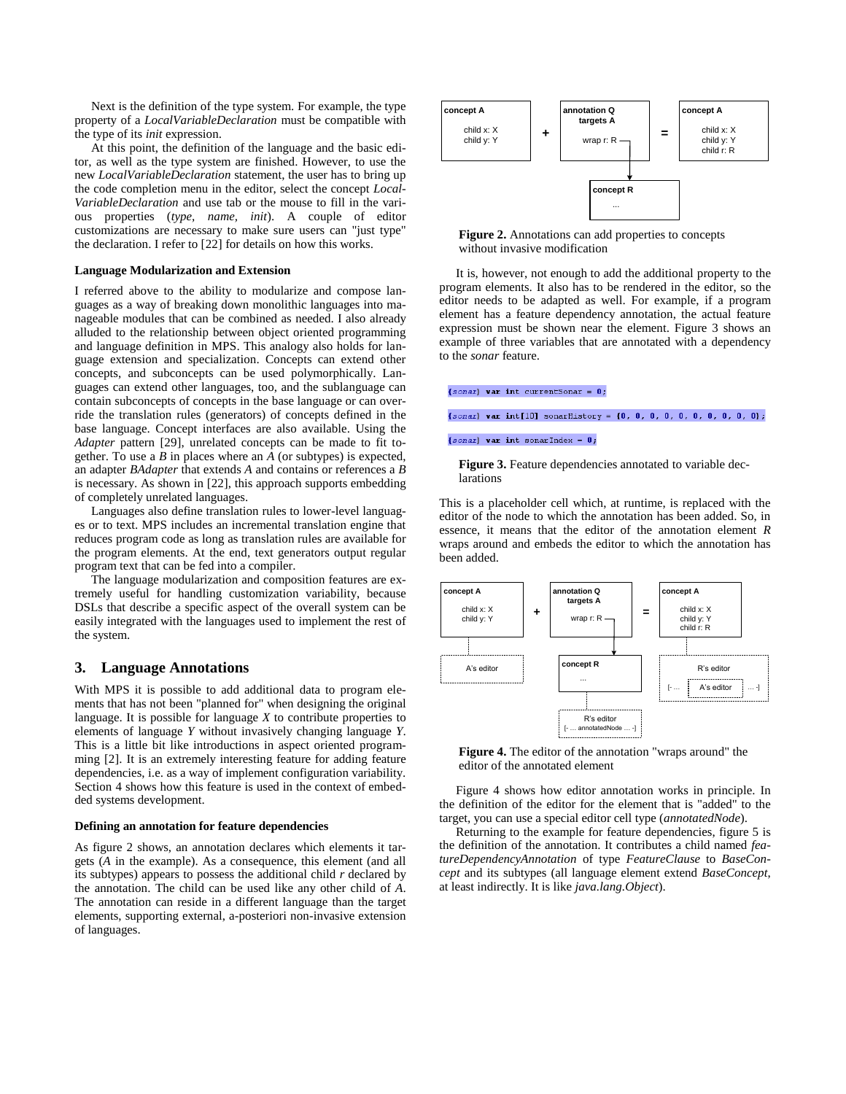Next is the definition of the type system. For example, the type property of a *LocalVariableDeclaration* must be compatible with the type of its *init* expression.

At this point, the definition of the language and the basic editor, as well as the type system are finished. However, to use the new *LocalVariableDeclaration* statement, the user has to bring up the code completion menu in the editor, select the concept *Local-VariableDeclaration* and use tab or the mouse to fill in the various properties (*type, name, init*). A couple of editor customizations are necessary to make sure users can "just type" the declaration. I refer to [22] for details on how this works.

## **Language Modularization and Extension**

I referred above to the ability to modularize and compose languages as a way of breaking down monolithic languages into manageable modules that can be combined as needed. I also already alluded to the relationship between object oriented programming and language definition in MPS. This analogy also holds for language extension and specialization. Concepts can extend other concepts, and subconcepts can be used polymorphically. Languages can extend other languages, too, and the sublanguage can contain subconcepts of concepts in the base language or can override the translation rules (generators) of concepts defined in the base language. Concept interfaces are also available. Using the *Adapter* pattern [29], unrelated concepts can be made to fit together. To use a *B* in places where an *A* (or subtypes) is expected, an adapter *BAdapter* that extends *A* and contains or references a *B* is necessary. As shown in [22], this approach supports embedding of completely unrelated languages.

Languages also define translation rules to lower-level languages or to text. MPS includes an incremental translation engine that reduces program code as long as translation rules are available for the program elements. At the end, text generators output regular program text that can be fed into a compiler.

The language modularization and composition features are extremely useful for handling customization variability, because DSLs that describe a specific aspect of the overall system can be easily integrated with the languages used to implement the rest of the system.

# **3. Language Annotations**

With MPS it is possible to add additional data to program elements that has not been "planned for" when designing the original language. It is possible for language *X* to contribute properties to elements of language *Y* without invasively changing language *Y*. This is a little bit like introductions in aspect oriented programming [2]. It is an extremely interesting feature for adding feature dependencies, i.e. as a way of implement configuration variability. Section 4 shows how this feature is used in the context of embedded systems development.

#### **Defining an annotation for feature dependencies**

As figure 2 shows, an annotation declares which elements it targets (*A* in the example). As a consequence, this element (and all its subtypes) appears to possess the additional child *r* declared by the annotation. The child can be used like any other child of *A*. The annotation can reside in a different language than the target elements, supporting external, a-posteriori non-invasive extension of languages.



Figure 2. Annotations can add properties to concepts without invasive modification

It is, however, not enough to add the additional property to the program elements. It also has to be rendered in the editor, so the editor needs to be adapted as well. For example, if a program element has a feature dependency annotation, the actual feature expression must be shown near the element. Figure 3 shows an example of three variables that are annotated with a dependency to the *sonar* feature.

#### ${sonar}$  var int currentSonar = 0;

#### {sonar} var int[10] sonarHistory = {0, 0, 0, 0, 0, 0, 0, 0, 0, 0};

#### ${sonar}$  var int sonarIndex = 0;

**Figure 3.** Feature dependencies annotated to variable declarations

This is a placeholder cell which, at runtime, is replaced with the editor of the node to which the annotation has been added. So, in essence, it means that the editor of the annotation element *R* wraps around and embeds the editor to which the annotation has been added.





Figure 4 shows how editor annotation works in principle. In the definition of the editor for the element that is "added" to the target, you can use a special editor cell type (*annotatedNode*).

Returning to the example for feature dependencies, figure 5 is the definition of the annotation. It contributes a child named *featureDependencyAnnotation* of type *FeatureClause* to *BaseConcept* and its subtypes (all language element extend *BaseConcept*, at least indirectly. It is like *java.lang.Object*).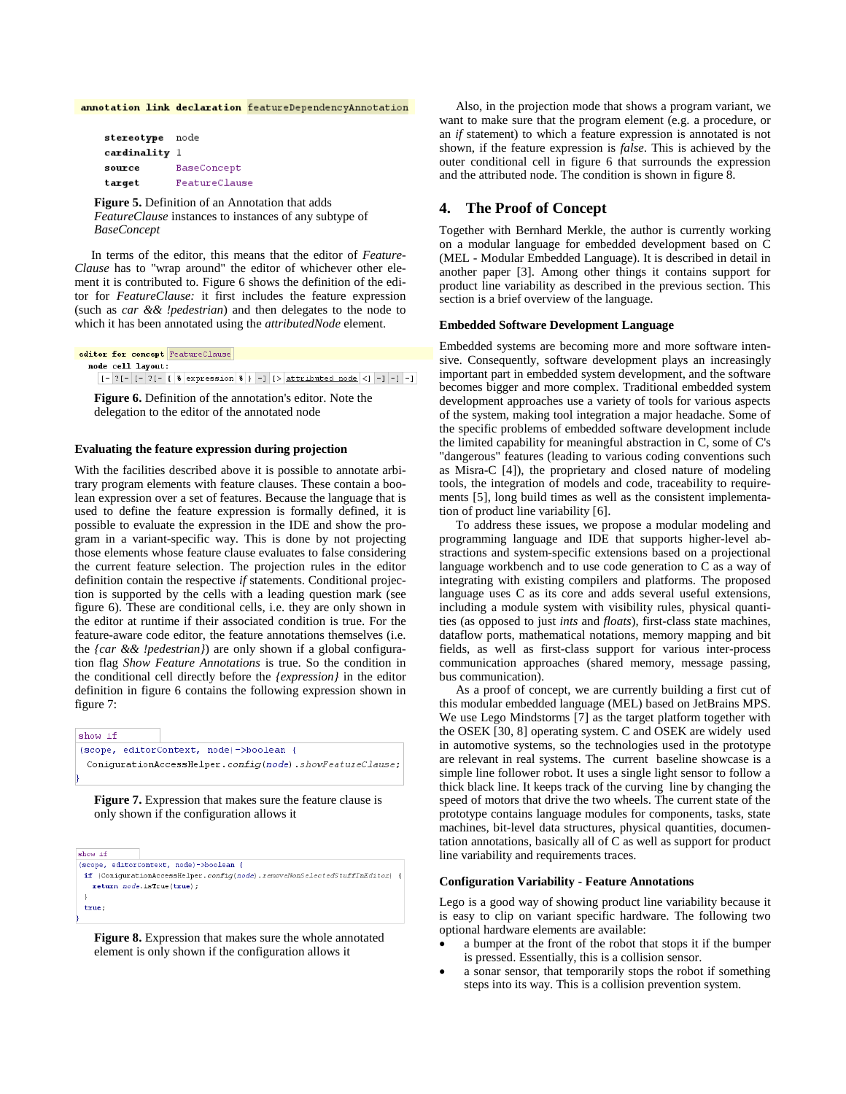#### annotation link declaration featureDependencyAnnotation

| stereotype    | node          |  |  |  |  |  |
|---------------|---------------|--|--|--|--|--|
| cardinality 1 |               |  |  |  |  |  |
| source        | BaseConcept   |  |  |  |  |  |
| target        | FeatureClause |  |  |  |  |  |

**Figure 5.** Definition of an Annotation that adds *FeatureClause* instances to instances of any subtype of *BaseConcept*

In terms of the editor, this means that the editor of *Feature-Clause* has to "wrap around" the editor of whichever other element it is contributed to. Figure 6 shows the definition of the editor for *FeatureClause:* it first includes the feature expression (such as *car && !pedestrian*) and then delegates to the node to which it has been annotated using the *attributedNode* element.

| editor for concept FeatureClause                                                              |  |  |  |  |  |
|-----------------------------------------------------------------------------------------------|--|--|--|--|--|
| node cell layout:                                                                             |  |  |  |  |  |
| $[-?[-][-][-]$ { $\frac{1}{3}$ expression $\frac{1}{3}$ ] $-]$ [> attributed node <] -] -] -] |  |  |  |  |  |

**Figure 6.** Definition of the annotation's editor. Note the delegation to the editor of the annotated node

#### **Evaluating the feature expression during projection**

With the facilities described above it is possible to annotate arbitrary program elements with feature clauses. These contain a boolean expression over a set of features. Because the language that is used to define the feature expression is formally defined, it is possible to evaluate the expression in the IDE and show the program in a variant-specific way. This is done by not projecting those elements whose feature clause evaluates to false considering the current feature selection. The projection rules in the editor definition contain the respective *if* statements. Conditional projection is supported by the cells with a leading question mark (see figure 6). These are conditional cells, i.e. they are only shown in the editor at runtime if their associated condition is true. For the feature-aware code editor, the feature annotations themselves (i.e. the *{car && !pedestrian}*) are only shown if a global configuration flag *Show Feature Annotations* is true. So the condition in the conditional cell directly before the *{expression}* in the editor definition in figure 6 contains the following expression shown in figure 7:

show if (scope, editorContext, node)->boolean { ConiqurationAccessHelper.config(node).showFeatureClause;

**Figure 7.** Expression that makes sure the feature clause is only shown if the configuration allows it

| show if                                                                     |  |
|-----------------------------------------------------------------------------|--|
| (scope, editorContext, node)->boolean {                                     |  |
| if (ConiqurationAccessHelper.config(node).removeNonSelectedStuffInEditor) { |  |
| return node.isTrue(true);                                                   |  |
|                                                                             |  |
| true;                                                                       |  |
|                                                                             |  |

**Figure 8.** Expression that makes sure the whole annotated element is only shown if the configuration allows it

Also, in the projection mode that shows a program variant, we want to make sure that the program element (e.g. a procedure, or an *if* statement) to which a feature expression is annotated is not shown, if the feature expression is *false*. This is achieved by the outer conditional cell in figure 6 that surrounds the expression and the attributed node. The condition is shown in figure  $\overline{8}$ .

# **4. The Proof of Concept**

Together with Bernhard Merkle, the author is currently working on a modular language for embedded development based on C (MEL - Modular Embedded Language). It is described in detail in another paper [3]. Among other things it contains support for product line variability as described in the previous section. This section is a brief overview of the language.

## **Embedded Software Development Language**

Embedded systems are becoming more and more software intensive. Consequently, software development plays an increasingly important part in embedded system development, and the software becomes bigger and more complex. Traditional embedded system development approaches use a variety of tools for various aspects of the system, making tool integration a major headache. Some of the specific problems of embedded software development include the limited capability for meaningful abstraction in C, some of C's "dangerous" features (leading to various coding conventions such as Misra-C [4]), the proprietary and closed nature of modeling tools, the integration of models and code, traceability to requirements [5], long build times as well as the consistent implementation of product line variability [6].

To address these issues, we propose a modular modeling and programming language and IDE that supports higher-level abstractions and system-specific extensions based on a projectional language workbench and to use code generation to C as a way of integrating with existing compilers and platforms. The proposed language uses C as its core and adds several useful extensions, including a module system with visibility rules, physical quantities (as opposed to just *ints* and *floats*), first-class state machines, dataflow ports, mathematical notations, memory mapping and bit fields, as well as first-class support for various inter-process communication approaches (shared memory, message passing, bus communication).

As a proof of concept, we are currently building a first cut of this modular embedded language (MEL) based on JetBrains MPS. We use Lego Mindstorms [7] as the target platform together with the OSEK [30, 8] operating system. C and OSEK are widely used in automotive systems, so the technologies used in the prototype are relevant in real systems. The current baseline showcase is a simple line follower robot. It uses a single light sensor to follow a thick black line. It keeps track of the curving line by changing the speed of motors that drive the two wheels. The current state of the prototype contains language modules for components, tasks, state machines, bit-level data structures, physical quantities, documentation annotations, basically all of C as well as support for product line variability and requirements traces.

#### **Configuration Variability - Feature Annotations**

Lego is a good way of showing product line variability because it is easy to clip on variant specific hardware. The following two optional hardware elements are available:

- a bumper at the front of the robot that stops it if the bumper is pressed. Essentially, this is a collision sensor.
- a sonar sensor, that temporarily stops the robot if something steps into its way. This is a collision prevention system.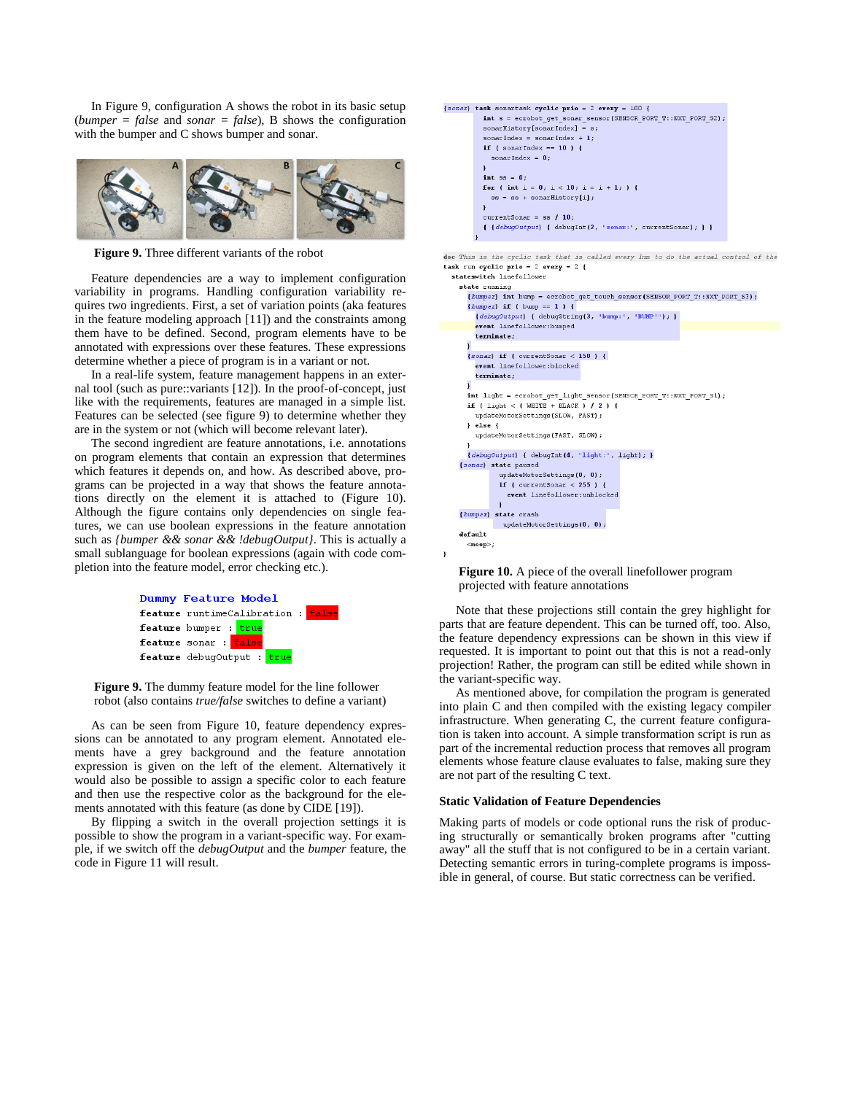In Figure 9, configuration A shows the robot in its basic setup (*bumper = false* and *sonar = false*), B shows the configuration with the bumper and C shows bumper and sonar.



**Figure 9.** Three different variants of the robot

Feature dependencies are a way to implement configuration variability in programs. Handling configuration variability requires two ingredients. First, a set of variation points (aka features in the feature modeling approach [11]) and the constraints among them have to be defined. Second, program elements have to be annotated with expressions over these features. These expressions determine whether a piece of program is in a variant or not.

In a real-life system, feature management happens in an external tool (such as pure::variants [12]). In the proof-of-concept, just like with the requirements, features are managed in a simple list. Features can be selected (see figure 9) to determine whether they are in the system or not (which will become relevant later).

The second ingredient are feature annotations, i.e. annotations on program elements that contain an expression that determines which features it depends on, and how. As described above, programs can be projected in a way that shows the feature annotations directly on the element it is attached to (Figure 10). Although the figure contains only dependencies on single features, we can use boolean expressions in the feature annotation such as *{bumper && sonar && !debugOutput}*. This is actually a small sublanguage for boolean expressions (again with code completion into the feature model, error checking etc.).



**Figure 9.** The dummy feature model for the line follower robot (also contains *true/false* switches to define a variant)

As can be seen from Figure 10, feature dependency expressions can be annotated to any program element. Annotated elements have a grey background and the feature annotation expression is given on the left of the element. Alternatively it would also be possible to assign a specific color to each feature and then use the respective color as the background for the elements annotated with this feature (as done by CIDE [19]).

By flipping a switch in the overall projection settings it is possible to show the program in a variant-specific way. For example, if we switch off the *debugOutput* and the *bumper* feature, the code in Figure 11 will result.

```
{sonar} task sonartask cyclic prio = 2 every = 100 {
            int s = ecrobot get sonar sensor(SBNSOR PORT::NXT PORT S2);\begin{minipage}{.4\linewidth} \texttt{sonarHistory} \texttt{[sonar Index]} = s \texttt{;} \end{minipage}\texttt{sonarIndex} = \texttt{sonarIndex} + 1;if ( sonar Index == 10 ) {
               \texttt{sonarIndex} = \textbf{0};int ss = 0:
            for ( int i = 0; i < 10; i = i + 1; ) {
               \verb|ss = ss + \verb|sonarHistory[i];\mathbf{r}currentSonar = ss / 10;
            { {debuq0utput} { debuqInt(2, "sonar:", currentSonar); } }
```
doc This is the cyclic task that is called every 1ms to do the actual control of the task run cyclic prio = 2 every = 2 { stateswitch linefollower

```
state running
   { \{ bumper \} \ \ int \ bump = \  \  \, \texttt{ecrobot\_get\_touch\_sensor}\ \texttt{(SENSE\_PORT\_T::NXT\_PORT\_S3\} \, ; }{bumper} if {\mbox{( bump = 1)}}{debugOutput} { debugString(3, "bump;", "BUMP|"); }
       event linefollower:bumped
       terminate;
   {sonar} if ( currentSonar < 150 ) {
       event linefollower:blocked
       terminate;
   int light = ecrobot get light sensor(SENSOR PORT T::NXT PORT S1);
   if ( light < ( WHITE + BLACK ) / 2 ) {
      updateMotorSettings(SLOW, FAST);
   3 else 4updateMotorSettings(FAST, SLOW);
   \label{thm:main} \begin{minipage}[c]{0.9\linewidth} \textit{debugOutput} \begin{minipage}[c]{0.9\linewidth} \begin{minipage}[c]{0.9\linewidth} \end{minipage}[c]{\textit{debugOutput}} \begin{minipage}[c]{0.9\linewidth} \end{minipage}[c]{\textit{debugOutput}} \begin{minipage}[c]{0.9\linewidth} \end{minipage}[c]{\textit{debugOutput}} \begin{minipage}[c]{0.9\linewidth} \end{minipage}[c]{\textit{debugOutput}} \begin{minipage}[c]{0.9\linewidth} \end{minipage}[c]{\textit{debugOutput}} \begin{sonar} state paused
                 updateMotorSetting (0, 0);if ( currentSonar < 255 )
                    event linefollower: unblocked
                 ï
{bumper} state crash
                 updateMotorSetting (0, 0);default
   \langle \text{no} \text{op} \rangle;
```
## **Figure 10.** A piece of the overall linefollower program projected with feature annotations

Note that these projections still contain the grey highlight for parts that are feature dependent. This can be turned off, too. Also, the feature dependency expressions can be shown in this view if requested. It is important to point out that this is not a read-only projection! Rather, the program can still be edited while shown in the variant-specific way.

As mentioned above, for compilation the program is generated into plain C and then compiled with the existing legacy compiler infrastructure. When generating C, the current feature configuration is taken into account. A simple transformation script is run as part of the incremental reduction process that removes all program elements whose feature clause evaluates to false, making sure they are not part of the resulting C text.

## **Static Validation of Feature Dependencies**

Making parts of models or code optional runs the risk of producing structurally or semantically broken programs after "cutting away" all the stuff that is not configured to be in a certain variant. Detecting semantic errors in turing-complete programs is impossible in general, of course. But static correctness can be verified.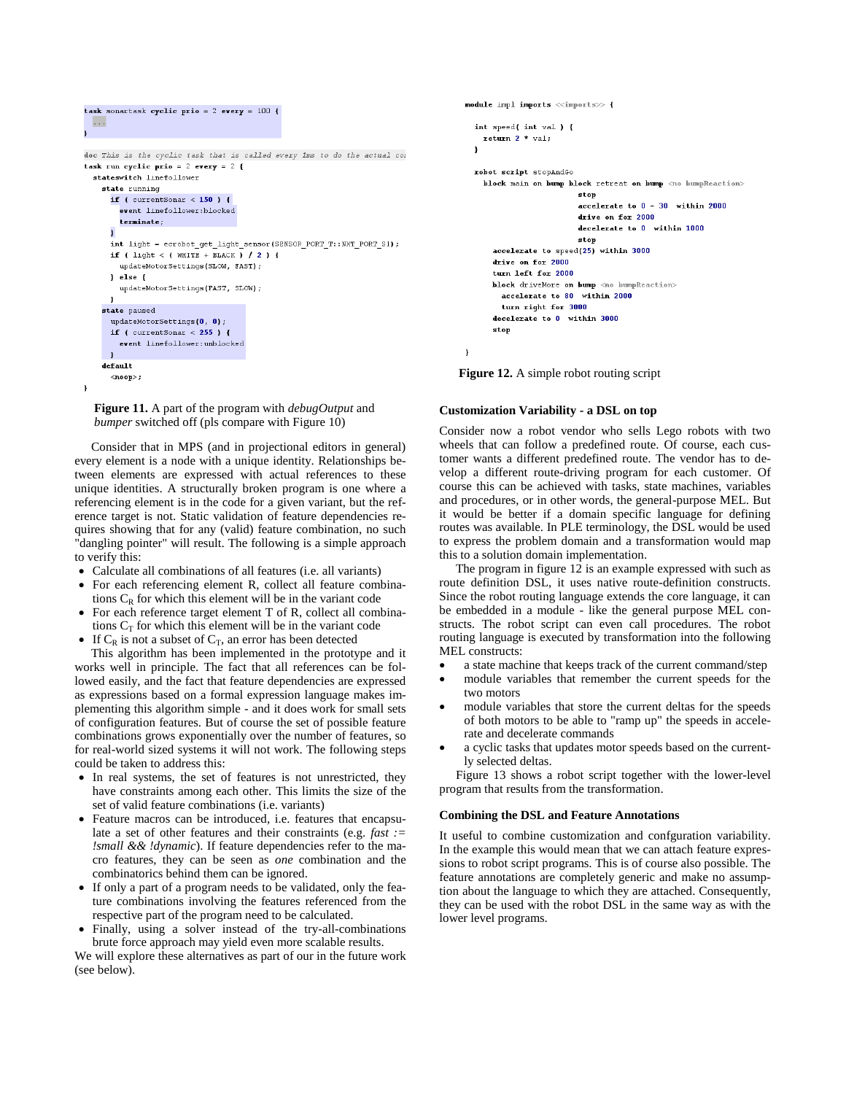```
task sonartask cyclic prio = 2 every = 100 {
  \ldots¥.
doc This is the cyclic task that is called every 1ms to do the actual cor
task run cyclic prio = 2 every = 2 {
  stateswitch linefollower
     state running
       if ( currentSonar < 150 ) {
          event linefollower:blocked
          terminate;
       \begin{minipage}{.4\linewidth} \begin{minipage}{.4\linewidth} int\_light\_sensor\texttt{(SENSOR\_PORT\_T: INT\_PORT\_S1)} \end{minipage} \end{minipage} \vspace{-0.5em}if ( Light < ( WHITE + BLACK ) / 2 ) {
         updateMotorSettings(SLOW, FAST);
       \} else {
         updateMotorSettings(FAST, SLOW);
     state paused
       updateMotorSetting (0, 0);if ( currentSonar < 255 ) {
         event linefollower: unblocked
       \mathbf{v}default
       \langlenoop>;
\mathbf{r}
```
**Figure 11.** A part of the program with *debugOutput* and *bumper* switched off (pls compare with Figure 10)

Consider that in MPS (and in projectional editors in general) every element is a node with a unique identity. Relationships between elements are expressed with actual references to these unique identities. A structurally broken program is one where a referencing element is in the code for a given variant, but the reference target is not. Static validation of feature dependencies requires showing that for any (valid) feature combination, no such "dangling pointer" will result. The following is a simple approach to verify this:

- Calculate all combinations of all features (i.e. all variants)
- For each referencing element R, collect all feature combinations  $C_R$  for which this element will be in the variant code
- For each reference target element T of R, collect all combinations  $C_T$  for which this element will be in the variant code
- If  $C_R$  is not a subset of  $C_T$ , an error has been detected This algorithm has been implemented in the prototype and it

works well in principle. The fact that all references can be followed easily, and the fact that feature dependencies are expressed as expressions based on a formal expression language makes implementing this algorithm simple - and it does work for small sets of configuration features. But of course the set of possible feature combinations grows exponentially over the number of features, so for real-world sized systems it will not work. The following steps could be taken to address this:

- In real systems, the set of features is not unrestricted, they have constraints among each other. This limits the size of the set of valid feature combinations (i.e. variants)
- Feature macros can be introduced, i.e. features that encapsulate a set of other features and their constraints (e.g. *fast := !small && !dynamic*). If feature dependencies refer to the macro features, they can be seen as *one* combination and the combinatorics behind them can be ignored.
- If only a part of a program needs to be validated, only the feature combinations involving the features referenced from the respective part of the program need to be calculated.
- Finally, using a solver instead of the try-all-combinations brute force approach may yield even more scalable results.

We will explore these alternatives as part of our in the future work (see below).

```
module impl imports <<imports>> {
  int speed( int val ) {
   return 2 * val;robot script stopAndGo
    block main on bump block retreat on bump <no bumpReaction>
                         stop
                         accelerate to 0 - 30 within 2000drive on for 2000
                         decelerate to 0 within 1000
                         stop
      accelerate to speed(25) within 3000
      drive on for 2000
      turn left for 2000
      block driveMore on bump <no bumpReaction>
        accelerate to 80 within 2000
        turn right for 3000
      decelerate to 0 within 3000
      stop
- 1
```
**Figure 12.** A simple robot routing script

## **Customization Variability - a DSL on top**

Consider now a robot vendor who sells Lego robots with two wheels that can follow a predefined route. Of course, each customer wants a different predefined route. The vendor has to develop a different route-driving program for each customer. Of course this can be achieved with tasks, state machines, variables and procedures, or in other words, the general-purpose MEL. But it would be better if a domain specific language for defining routes was available. In PLE terminology, the DSL would be used to express the problem domain and a transformation would map this to a solution domain implementation.

The program in figure 12 is an example expressed with such as route definition DSL, it uses native route-definition constructs. Since the robot routing language extends the core language, it can be embedded in a module - like the general purpose MEL constructs. The robot script can even call procedures. The robot routing language is executed by transformation into the following MEL constructs:

- a state machine that keeps track of the current command/step
- module variables that remember the current speeds for the two motors
- module variables that store the current deltas for the speeds of both motors to be able to "ramp up" the speeds in accelerate and decelerate commands
- a cyclic tasks that updates motor speeds based on the currently selected deltas.

Figure 13 shows a robot script together with the lower-level program that results from the transformation.

## **Combining the DSL and Feature Annotations**

It useful to combine customization and confguration variability. In the example this would mean that we can attach feature expressions to robot script programs. This is of course also possible. The feature annotations are completely generic and make no assumption about the language to which they are attached. Consequently, they can be used with the robot DSL in the same way as with the lower level programs.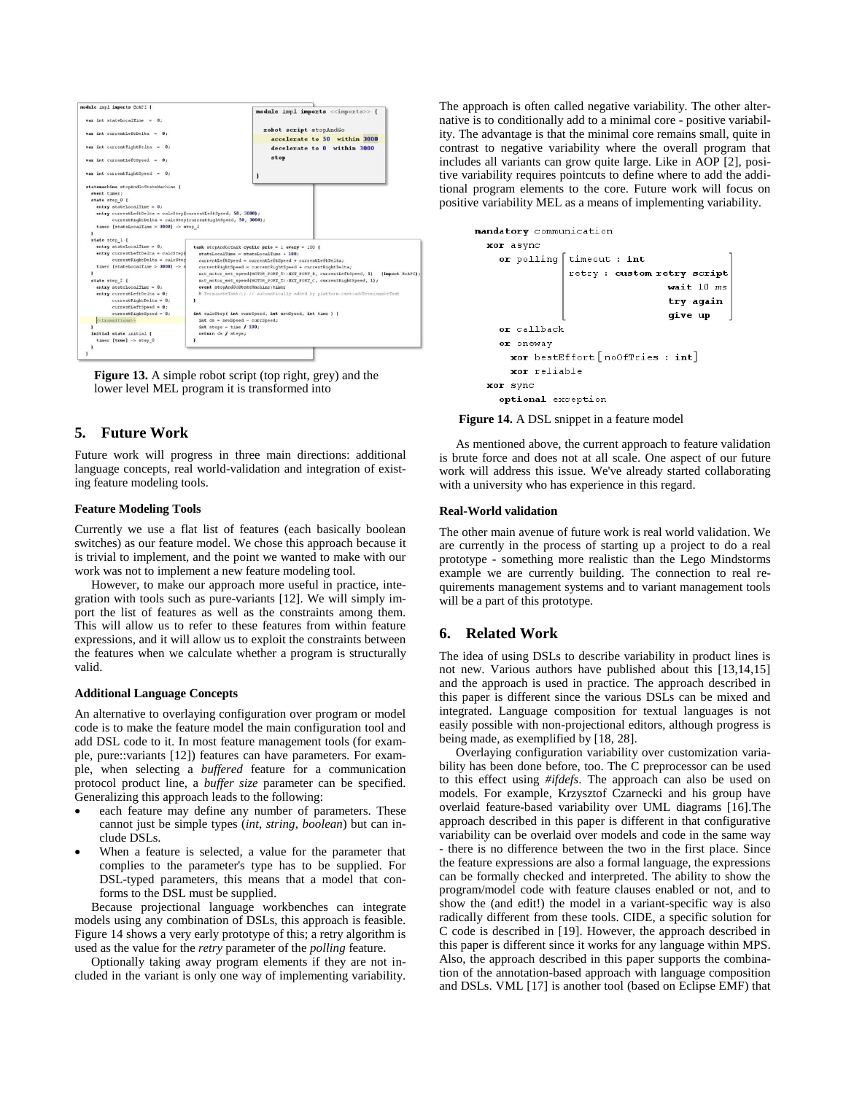

**Figure 13.** A simple robot script (top right, grey) and the lower level MEL program it is transformed into

# **5. Future Work**

Future work will progress in three main directions: additional language concepts, real world-validation and integration of existing feature modeling tools.

## **Feature Modeling Tools**

Currently we use a flat list of features (each basically boolean switches) as our feature model. We chose this approach because it is trivial to implement, and the point we wanted to make with our work was not to implement a new feature modeling tool.

However, to make our approach more useful in practice, integration with tools such as pure-variants [12]. We will simply import the list of features as well as the constraints among them. This will allow us to refer to these features from within feature expressions, and it will allow us to exploit the constraints between the features when we calculate whether a program is structurally valid.

## **Additional Language Concepts**

An alternative to overlaying configuration over program or model code is to make the feature model the main configuration tool and add DSL code to it. In most feature management tools (for example, pure::variants [12]) features can have parameters. For example, when selecting a *buffered* feature for a communication protocol product line, a *buffer size* parameter can be specified. Generalizing this approach leads to the following:

- each feature may define any number of parameters. These cannot just be simple types (*int*, *string*, *boolean*) but can include DSLs.
- When a feature is selected, a value for the parameter that complies to the parameter's type has to be supplied. For DSL-typed parameters, this means that a model that conforms to the DSL must be supplied.

Because projectional language workbenches can integrate models using any combination of DSLs, this approach is feasible. Figure 14 shows a very early prototype of this; a retry algorithm is used as the value for the *retry* parameter of the *polling* feature.

Optionally taking away program elements if they are not included in the variant is only one way of implementing variability. The approach is often called negative variability. The other alternative is to conditionally add to a minimal core - positive variability. The advantage is that the minimal core remains small, quite in contrast to negative variability where the overall program that includes all variants can grow quite large. Like in AOP [2], positive variability requires pointcuts to define where to add the additional program elements to the core. Future work will focus on positive variability MEL as a means of implementing variability.

```
mandatory communication
 xor async
    or polling timeout: int
                retry : custom retry script
                                 wait 10 ms
                                 try again
                                 qive up
    or callback
    or oneway
      xor bestEffort [noOfTries : int]
      xor reliable
 xor sync
    optional exception
```
**Figure 14.** A DSL snippet in a feature model

As mentioned above, the current approach to feature validation is brute force and does not at all scale. One aspect of our future work will address this issue. We've already started collaborating with a university who has experience in this regard.

## **Real-World validation**

The other main avenue of future work is real world validation. We are currently in the process of starting up a project to do a real prototype - something more realistic than the Lego Mindstorms example we are currently building. The connection to real requirements management systems and to variant management tools will be a part of this prototype.

## **6. Related Work**

The idea of using DSLs to describe variability in product lines is not new. Various authors have published about this [13,14,15] and the approach is used in practice. The approach described in this paper is different since the various DSLs can be mixed and integrated. Language composition for textual languages is not easily possible with non-projectional editors, although progress is being made, as exemplified by [18, 28].

Overlaying configuration variability over customization variability has been done before, too. The C preprocessor can be used to this effect using *#ifdefs*. The approach can also be used on models. For example, Krzysztof Czarnecki and his group have overlaid feature-based variability over UML diagrams [16].The approach described in this paper is different in that configurative variability can be overlaid over models and code in the same way - there is no difference between the two in the first place. Since the feature expressions are also a formal language, the expressions can be formally checked and interpreted. The ability to show the program/model code with feature clauses enabled or not, and to show the (and edit!) the model in a variant-specific way is also radically different from these tools. CIDE, a specific solution for C code is described in [19]. However, the approach described in this paper is different since it works for any language within MPS. Also, the approach described in this paper supports the combination of the annotation-based approach with language composition and DSLs. VML [17] is another tool (based on Eclipse EMF) that